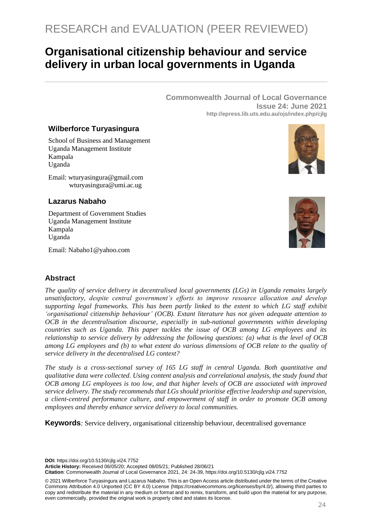# **Organisational citizenship behaviour and service delivery in urban local governments in Uganda**

**Commonwealth Journal of Local Governance Issue 24: June 2021 http://epress.lib.uts.edu.au/ojs/index.php/cjlg**

### **Wilberforce Turyasingura**

School of Business and Management Uganda Management Institute Kampala Uganda

Email: wturyasingura@gmail.com wturyasingura@umi.ac.ug

# **Lazarus Nabaho**

Department of Government Studies Uganda Management Institute Kampala Uganda

Email: Nabaho1@yahoo.com



# **Abstract**

*The quality of service delivery in decentralised local governments (LGs) in Uganda remains largely unsatisfactory, despite central government's efforts to improve resource allocation and develop supporting legal frameworks. This has been partly linked to the extent to which LG staff exhibit 'organisational citizenship behaviour' (OCB). Extant literature has not given adequate attention to OCB in the decentralisation discourse, especially in sub-national governments within developing countries such as Uganda. This paper tackles the issue of OCB among LG employees and its relationship to service delivery by addressing the following questions: (a) what is the level of OCB among LG employees and (b) to what extent do various dimensions of OCB relate to the quality of service delivery in the decentralised LG context?* 

*The study is a cross-sectional survey of 165 LG staff in central Uganda. Both quantitative and qualitative data were collected. Using content analysis and correlational analysis, the study found that OCB among LG employees is too low, and that higher levels of OCB are associated with improved service delivery. The study recommends that LGs should prioritise effective leadership and supervision, a client-centred performance culture, and empowerment of staff in order to promote OCB among employees and thereby enhance service delivery to local communities.*

**Keywords***:* Service delivery, organisational citizenship behaviour, decentralised governance

**DOI:** https://doi.org/10.5130/cjlg.vi24.7752

**Article History:** Received 06/05/20; Accepted 08/05/21; Published 28/06/21

**Citation**: Commonwealth Journal of Local Governance 2021, 24: 24-39, https://doi.org/10.5130/cjlg.vi24.7752

© 2021 Wilberforce Turyasingura and Lazarus Nabaho. This is an Open Access article distributed under the terms of the Creative Commons Attribution 4.0 Unported (CC BY 4.0) License [\(https://creativecommons.org/licenses/by/4.0/\)](https://creativecommons.org/licenses/by/4.0/), allowing third parties to copy and redistribute the material in any medium or format and to remix, transform, and build upon the material for any purpose, even commercially, provided the original work is properly cited and states its license.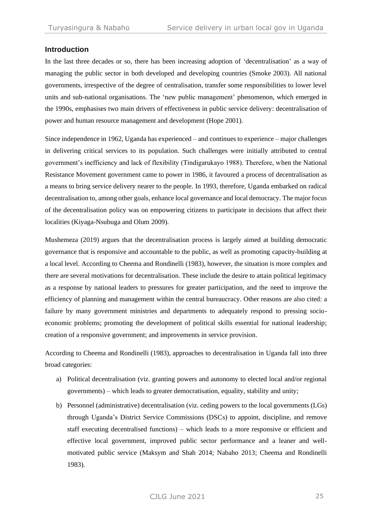### **Introduction**

In the last three decades or so, there has been increasing adoption of 'decentralisation' as a way of managing the public sector in both developed and developing countries (Smoke 2003). All national governments, irrespective of the degree of centralisation, transfer some responsibilities to lower level units and sub-national organisations. The 'new public management' phenomenon, which emerged in the 1990s, emphasises two main drivers of effectiveness in public service delivery: decentralisation of power and human resource management and development (Hope 2001).

Since independence in 1962, Uganda has experienced – and continues to experience – major challenges in delivering critical services to its population. Such challenges were initially attributed to central government's inefficiency and lack of flexibility (Tindigarukayo 1988). Therefore, when the National Resistance Movement government came to power in 1986, it favoured a process of decentralisation as a means to bring service delivery nearer to the people. In 1993, therefore, Uganda embarked on radical decentralisation to, among other goals, enhance local governance and local democracy. The major focus of the decentralisation policy was on empowering citizens to participate in decisions that affect their localities (Kiyaga-Nsubuga and Olum 2009).

Mushemeza (2019) argues that the decentralisation process is largely aimed at building democratic governance that is responsive and accountable to the public, as well as promoting capacity-building at a local level. According to Cheema and Rondinelli (1983), however, the situation is more complex and there are several motivations for decentralisation. These include the desire to attain political legitimacy as a response by national leaders to pressures for greater participation, and the need to improve the efficiency of planning and management within the central bureaucracy. Other reasons are also cited: a failure by many government ministries and departments to adequately respond to pressing socioeconomic problems; promoting the development of political skills essential for national leadership; creation of a responsive government; and improvements in service provision.

According to Cheema and Rondinelli (1983), approaches to decentralisation in Uganda fall into three broad categories:

- a) Political decentralisation (viz. granting powers and autonomy to elected local and/or regional governments) – which leads to greater democratisation, equality, stability and unity;
- b) Personnel (administrative) decentralisation (viz. ceding powers to the local governments (LGs) through Uganda's District Service Commissions (DSCs) to appoint, discipline, and remove staff executing decentralised functions) – which leads to a more responsive or efficient and effective local government, improved public sector performance and a leaner and wellmotivated public service (Maksym and Shah 2014; Nabaho 2013; Cheema and Rondinelli 1983).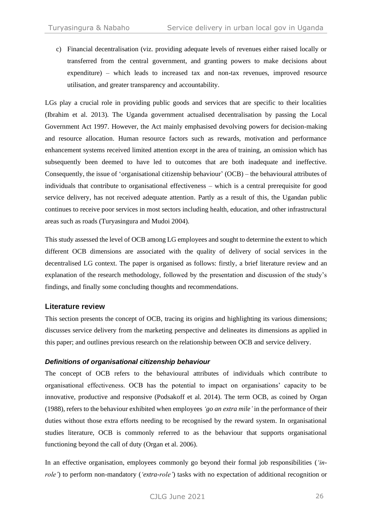c) Financial decentralisation (viz. providing adequate levels of revenues either raised locally or transferred from the central government, and granting powers to make decisions about expenditure) – which leads to increased tax and non-tax revenues, improved resource utilisation, and greater transparency and accountability.

LGs play a crucial role in providing public goods and services that are specific to their localities (Ibrahim et al. 2013). The Uganda government actualised decentralisation by passing the Local Government Act 1997. However, the Act mainly emphasised devolving powers for decision-making and resource allocation. Human resource factors such as rewards, motivation and performance enhancement systems received limited attention except in the area of training, an omission which has subsequently been deemed to have led to outcomes that are both inadequate and ineffective. Consequently, the issue of 'organisational citizenship behaviour' (OCB) – the behavioural attributes of individuals that contribute to organisational effectiveness – which is a central prerequisite for good service delivery, has not received adequate attention. Partly as a result of this, the Ugandan public continues to receive poor services in most sectors including health, education, and other infrastructural areas such as roads (Turyasingura and Mudoi 2004).

This study assessed the level of OCB among LG employees and sought to determine the extent to which different OCB dimensions are associated with the quality of delivery of social services in the decentralised LG context. The paper is organised as follows: firstly, a brief literature review and an explanation of the research methodology, followed by the presentation and discussion of the study's findings, and finally some concluding thoughts and recommendations.

# **Literature review**

This section presents the concept of OCB, tracing its origins and highlighting its various dimensions; discusses service delivery from the marketing perspective and delineates its dimensions as applied in this paper; and outlines previous research on the relationship between OCB and service delivery.

### *Definitions of organisational citizenship behaviour*

The concept of OCB refers to the behavioural attributes of individuals which contribute to organisational effectiveness. OCB has the potential to impact on organisations' capacity to be innovative, productive and responsive (Podsakoff et al. 2014). The term OCB, as coined by Organ (1988), refers to the behaviour exhibited when employees *'go an extra mile'* in the performance of their duties without those extra efforts needing to be recognised by the reward system. In organisational studies literature, OCB is commonly referred to as the behaviour that supports organisational functioning beyond the call of duty (Organ et al. 2006).

In an effective organisation, employees commonly go beyond their formal job responsibilities (*'inrole'*) to perform non-mandatory (*'extra-role'*) tasks with no expectation of additional recognition or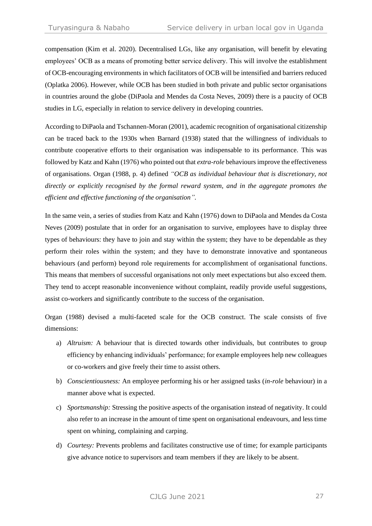compensation (Kim et al. 2020). Decentralised LGs, like any organisation, will benefit by elevating employees' OCB as a means of promoting better service delivery. This will involve the establishment of OCB-encouraging environments in which facilitators of OCB will be intensified and barriers reduced (Oplatka 2006). However, while OCB has been studied in both private and public sector organisations in countries around the globe (DiPaola and Mendes da Costa Neves, 2009) there is a paucity of OCB studies in LG, especially in relation to service delivery in developing countries.

According to DiPaola and Tschannen-Moran (2001), academic recognition of organisational citizenship can be traced back to the 1930s when Barnard (1938) stated that the willingness of individuals to contribute cooperative efforts to their organisation was indispensable to its performance. This was followed by Katz and Kahn (1976) who pointed out that *extra-role* behaviours improve the effectiveness of organisations. Organ (1988, p. 4) defined *"OCB as individual behaviour that is discretionary, not directly or explicitly recognised by the formal reward system, and in the aggregate promotes the efficient and effective functioning of the organisation".*

In the same vein, a series of studies from Katz and Kahn (1976) down to DiPaola and Mendes da Costa Neves (2009) postulate that in order for an organisation to survive, employees have to display three types of behaviours: they have to join and stay within the system; they have to be dependable as they perform their roles within the system; and they have to demonstrate innovative and spontaneous behaviours (and perform) beyond role requirements for accomplishment of organisational functions. This means that members of successful organisations not only meet expectations but also exceed them. They tend to accept reasonable inconvenience without complaint, readily provide useful suggestions, assist co-workers and significantly contribute to the success of the organisation.

Organ (1988) devised a multi-faceted scale for the OCB construct. The scale consists of five dimensions:

- a) *Altruism:* A behaviour that is directed towards other individuals, but contributes to group efficiency by enhancing individuals' performance; for example employees help new colleagues or co-workers and give freely their time to assist others.
- b) *Conscientiousness:* An employee performing his or her assigned tasks (*in-role* behaviour) in a manner above what is expected.
- c) *Sportsmanship:* Stressing the positive aspects of the organisation instead of negativity. It could also refer to an increase in the amount of time spent on organisational endeavours, and less time spent on whining, complaining and carping.
- d) *Courtesy:* Prevents problems and facilitates constructive use of time; for example participants give advance notice to supervisors and team members if they are likely to be absent.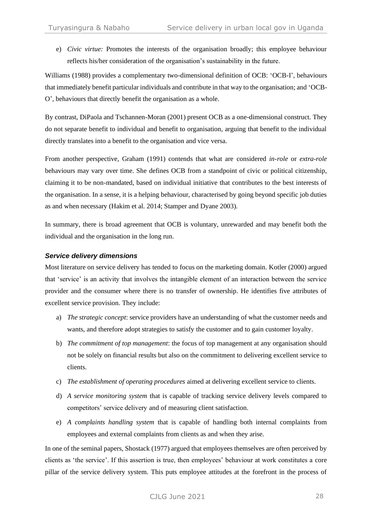e) *Civic virtue:* Promotes the interests of the organisation broadly; this employee behaviour reflects his/her consideration of the organisation's sustainability in the future.

Williams (1988) provides a complementary two-dimensional definition of OCB: 'OCB-I', behaviours that immediately benefit particular individuals and contribute in that way to the organisation; and 'OCB-O', behaviours that directly benefit the organisation as a whole.

By contrast, DiPaola and Tschannen-Moran (2001) present OCB as a one-dimensional construct. They do not separate benefit to individual and benefit to organisation, arguing that benefit to the individual directly translates into a benefit to the organisation and vice versa.

From another perspective, Graham (1991) contends that what are considered *in-role* or *extra-role* behaviours may vary over time. She defines OCB from a standpoint of civic or political citizenship, claiming it to be non-mandated, based on individual initiative that contributes to the best interests of the organisation. In a sense, it is a helping behaviour, characterised by going beyond specific job duties as and when necessary (Hakim et al. 2014; Stamper and Dyane 2003).

In summary, there is broad agreement that OCB is voluntary, unrewarded and may benefit both the individual and the organisation in the long run.

### *Service delivery dimensions*

Most literature on service delivery has tended to focus on the marketing domain. Kotler (2000) argued that 'service' is an activity that involves the intangible element of an interaction between the service provider and the consumer where there is no transfer of ownership. He identifies five attributes of excellent service provision. They include:

- a) *The strategic concept*: service providers have an understanding of what the customer needs and wants, and therefore adopt strategies to satisfy the customer and to gain customer loyalty.
- b) *The commitment of top management*: the focus of top management at any organisation should not be solely on financial results but also on the commitment to delivering excellent service to clients.
- c) *The establishment of operating procedures* aimed at delivering excellent service to clients.
- d) *A service monitoring system* that is capable of tracking service delivery levels compared to competitors' service delivery and of measuring client satisfaction.
- e) *A complaints handling system* that is capable of handling both internal complaints from employees and external complaints from clients as and when they arise.

In one of the seminal papers, Shostack (1977) argued that employees themselves are often perceived by clients as 'the service'. If this assertion is true, then employees' behaviour at work constitutes a core pillar of the service delivery system. This puts employee attitudes at the forefront in the process of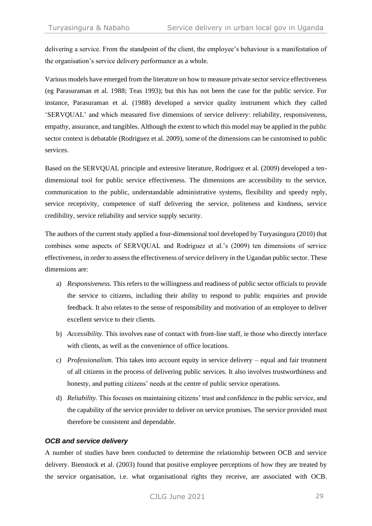delivering a service. From the standpoint of the client, the employee's behaviour is a manifestation of the organisation's service delivery performance as a whole.

Various models have emerged from the literature on how to measure private sector service effectiveness (eg Parasuraman et al. 1988; Teas 1993); but this has not been the case for the public service. For instance, Parasuraman et al. (1988) developed a service quality instrument which they called 'SERVQUAL' and which measured five dimensions of service delivery: reliability, responsiveness, empathy, assurance, and tangibles. Although the extent to which this model may be applied in the public sector context is debatable (Rodriguez et al. 2009), some of the dimensions can be customised to public services.

Based on the SERVQUAL principle and extensive literature, Rodriguez et al. (2009) developed a tendimensional tool for public service effectiveness. The dimensions are accessibility to the service, communication to the public, understandable administrative systems, flexibility and speedy reply, service receptivity, competence of staff delivering the service, politeness and kindness, service credibility, service reliability and service supply security.

The authors of the current study applied a four-dimensional tool developed by Turyasingura (2010) that combines some aspects of SERVQUAL and Rodriguez et al.'s (2009) ten dimensions of service effectiveness, in order to assess the effectiveness of service delivery in the Ugandan public sector. These dimensions are:

- a) *Responsiveness.* This refers to the willingness and readiness of public sector officials to provide the service to citizens, including their ability to respond to public enquiries and provide feedback. It also relates to the sense of responsibility and motivation of an employee to deliver excellent service to their clients.
- b) *Accessibility.* This involves ease of contact with front-line staff, ie those who directly interface with clients, as well as the convenience of office locations.
- c) *Professionalism.* This takes into account equity in service delivery equal and fair treatment of all citizens in the process of delivering public services. It also involves trustworthiness and honesty, and putting citizens' needs at the centre of public service operations.
- d) *Reliability.* This focuses on maintaining citizens' trust and confidence in the public service, and the capability of the service provider to deliver on service promises. The service provided must therefore be consistent and dependable.

### *OCB and service delivery*

A number of studies have been conducted to determine the relationship between OCB and service delivery. Bienstock et al. (2003) found that positive employee perceptions of how they are treated by the service organisation, i.e. what organisational rights they receive, are associated with OCB.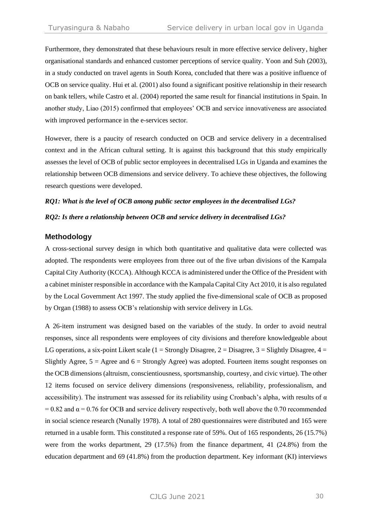Furthermore, they demonstrated that these behaviours result in more effective service delivery, higher organisational standards and enhanced customer perceptions of service quality. Yoon and Suh (2003), in a study conducted on travel agents in South Korea, concluded that there was a positive influence of OCB on service quality. Hui et al. (2001) also found a significant positive relationship in their research on bank tellers, while Castro et al. (2004) reported the same result for financial institutions in Spain. In another study, Liao (2015) confirmed that employees' OCB and service innovativeness are associated with improved performance in the e-services sector.

However, there is a paucity of research conducted on OCB and service delivery in a decentralised context and in the African cultural setting. It is against this background that this study empirically assesses the level of OCB of public sector employees in decentralised LGs in Uganda and examines the relationship between OCB dimensions and service delivery. To achieve these objectives, the following research questions were developed.

# *RQ1: What is the level of OCB among public sector employees in the decentralised LGs? RQ2: Is there a relationship between OCB and service delivery in decentralised LGs?*

### **Methodology**

A cross-sectional survey design in which both quantitative and qualitative data were collected was adopted. The respondents were employees from three out of the five urban divisions of the Kampala Capital City Authority (KCCA). Although KCCA is administered under the Office of the President with a cabinet minister responsible in accordance with the Kampala Capital City Act 2010, it is also regulated by the Local Government Act 1997. The study applied the five-dimensional scale of OCB as proposed by Organ (1988) to assess OCB's relationship with service delivery in LGs.

A 26-item instrument was designed based on the variables of the study. In order to avoid neutral responses, since all respondents were employees of city divisions and therefore knowledgeable about LG operations, a six-point Likert scale (1 = Strongly Disagree, 2 = Disagree, 3 = Slightly Disagree, 4 = Slightly Agree,  $5 =$  Agree and  $6 =$  Strongly Agree) was adopted. Fourteen items sought responses on the OCB dimensions (altruism, conscientiousness, sportsmanship, courtesy, and civic virtue). The other 12 items focused on service delivery dimensions (responsiveness, reliability, professionalism, and accessibility). The instrument was assessed for its reliability using Cronbach's alpha, with results of  $\alpha$  $= 0.82$  and  $\alpha = 0.76$  for OCB and service delivery respectively, both well above the 0.70 recommended in social science research (Nunally 1978). A total of 280 questionnaires were distributed and 165 were returned in a usable form. This constituted a response rate of 59%. Out of 165 respondents, 26 (15.7%) were from the works department, 29 (17.5%) from the finance department, 41 (24.8%) from the education department and 69 (41.8%) from the production department. Key informant (KI) interviews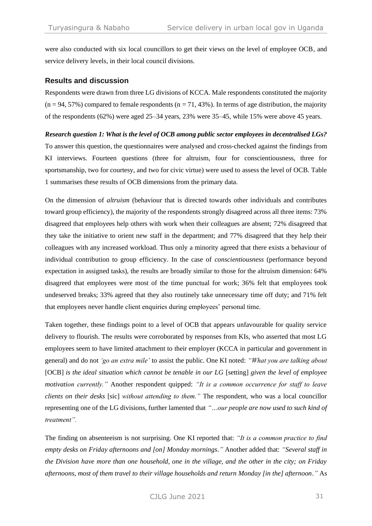were also conducted with six local councillors to get their views on the level of employee OCB, and service delivery levels, in their local council divisions.

### **Results and discussion**

Respondents were drawn from three LG divisions of KCCA. Male respondents constituted the majority  $(n = 94, 57%)$  compared to female respondents  $(n = 71, 43%)$ . In terms of age distribution, the majority of the respondents (62%) were aged 25–34 years, 23% were 35–45, while 15% were above 45 years.

### *Research question 1: What is the level of OCB among public sector employees in decentralised LGs?*

To answer this question, the questionnaires were analysed and cross-checked against the findings from KI interviews. Fourteen questions (three for altruism, four for conscientiousness, three for sportsmanship, two for courtesy, and two for civic virtue) were used to assess the level of OCB. Table 1 summarises these results of OCB dimensions from the primary data.

On the dimension of *altruism* (behaviour that is directed towards other individuals and contributes toward group efficiency), the majority of the respondents strongly disagreed across all three items: 73% disagreed that employees help others with work when their colleagues are absent; 72% disagreed that they take the initiative to orient new staff in the department; and 77% disagreed that they help their colleagues with any increased workload. Thus only a minority agreed that there exists a behaviour of individual contribution to group efficiency. In the case of *conscientiousness* (performance beyond expectation in assigned tasks), the results are broadly similar to those for the altruism dimension: 64% disagreed that employees were most of the time punctual for work; 36% felt that employees took undeserved breaks; 33% agreed that they also routinely take unnecessary time off duty; and 71% felt that employees never handle client enquiries during employees' personal time.

Taken together, these findings point to a level of OCB that appears unfavourable for quality service delivery to flourish. The results were corroborated by responses from KIs, who asserted that most LG employees seem to have limited attachment to their employer (KCCA in particular and government in general) and do not *'go an extra mile'* to assist the public. One KI noted: *"What you are talking about*  [OCB] *is the ideal situation which cannot be tenable in our LG* [setting] *given the level of employee motivation currently."* Another respondent quipped: *"It is a common occurrence for staff to leave clients on their desks* [sic] *without attending to them."* The respondent, who was a local councillor representing one of the LG divisions, further lamented that *"…our people are now used to such kind of treatment".*

The finding on absenteeism is not surprising. One KI reported that: *"It is a common practice to find empty desks on Friday afternoons and [on] Monday mornings."* Another added that: *"Several staff in the Division have more than one household, one in the village, and the other in the city; on Friday afternoons, most of them travel to their village households and return Monday [in the] afternoon."* As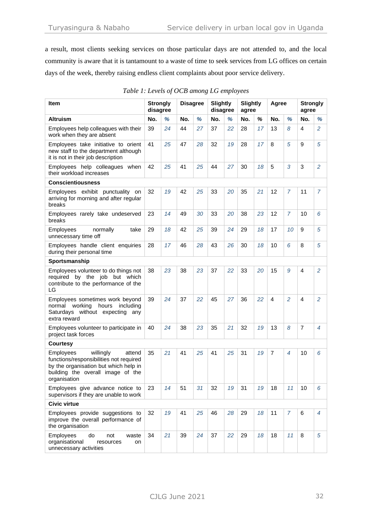a result, most clients seeking services on those particular days are not attended to, and the local community is aware that it is tantamount to a waste of time to seek services from LG offices on certain days of the week, thereby raising endless client complaints about poor service delivery.

| Item                                                                                                                                                                      | <b>Strongly</b><br>disagree |    | <b>Disagree</b> |    | <b>Slightly</b><br>disagree |    | <b>Slightly</b><br>agree |    | Agree          |                | <b>Strongly</b><br>agree |                |
|---------------------------------------------------------------------------------------------------------------------------------------------------------------------------|-----------------------------|----|-----------------|----|-----------------------------|----|--------------------------|----|----------------|----------------|--------------------------|----------------|
| Altruism                                                                                                                                                                  | No.                         | %  | No.             | %  | No.                         | %  | No.                      | %  | No.            | %              | No.                      | %              |
| Employees help colleagues with their<br>work when they are absent                                                                                                         | 39                          | 24 | 44              | 27 | 37                          | 22 | 28                       | 17 | 13             | 8              | $\overline{4}$           | $\overline{a}$ |
| Employees take initiative to orient<br>new staff to the department although<br>it is not in their job description                                                         | 41                          | 25 | 47              | 28 | 32                          | 19 | 28                       | 17 | 8              | 5              | 9                        | 5              |
| Employees help colleagues when<br>their workload increases                                                                                                                | 42                          | 25 | 41              | 25 | 44                          | 27 | 30                       | 18 | 5              | 3              | 3                        | 2              |
| <b>Conscientiousness</b>                                                                                                                                                  |                             |    |                 |    |                             |    |                          |    |                |                |                          |                |
| Employees exhibit punctuality on<br>arriving for morning and after regular<br>breaks                                                                                      | 32                          | 19 | 42              | 25 | 33                          | 20 | 35                       | 21 | 12             | 7              | 11                       | 7              |
| Employees rarely take undeserved<br>breaks                                                                                                                                | 23                          | 14 | 49              | 30 | 33                          | 20 | 38                       | 23 | 12             | $\overline{7}$ | 10                       | 6              |
| Employees<br>normally<br>take<br>unnecessary time off                                                                                                                     | 29                          | 18 | 42              | 25 | 39                          | 24 | 29                       | 18 | 17             | 10             | 9                        | 5              |
| Employees handle client enquiries<br>during their personal time                                                                                                           | 28                          | 17 | 46              | 28 | 43                          | 26 | 30                       | 18 | 10             | 6              | 8                        | 5              |
| Sportsmanship                                                                                                                                                             |                             |    |                 |    |                             |    |                          |    |                |                |                          |                |
| Employees volunteer to do things not<br>required by the job but which<br>contribute to the performance of the<br>LG                                                       | 38                          | 23 | 38              | 23 | 37                          | 22 | 33                       | 20 | 15             | 9              | $\overline{4}$           | 2              |
| Employees sometimes work beyond<br>normal working<br>hours<br>including<br>Saturdays without expecting any<br>extra reward                                                | 39                          | 24 | 37              | 22 | 45                          | 27 | 36                       | 22 | $\overline{4}$ | $\overline{2}$ | $\overline{4}$           | 2              |
| Employees volunteer to participate in<br>project task forces                                                                                                              |                             | 24 | 38              | 23 | 35                          | 21 | 32                       | 19 | 13             | 8              | $\overline{7}$           | $\overline{4}$ |
| <b>Courtesy</b>                                                                                                                                                           |                             |    |                 |    |                             |    |                          |    |                |                |                          |                |
| Employees<br>willingly<br>attend<br>functions/responsibilities not required<br>by the organisation but which help in<br>building the overall image of the<br>organisation | 35                          | 21 | 41              | 25 | 41                          | 25 | 31                       | 19 | $\overline{7}$ | 4              | 10                       | 6              |
| Employees give advance notice to<br>supervisors if they are unable to work                                                                                                | 23                          | 14 | 51              | 31 | 32                          | 19 | 31                       | 19 | 18             | 11             | 10                       | 6              |
| <b>Civic virtue</b>                                                                                                                                                       |                             |    |                 |    |                             |    |                          |    |                |                |                          |                |
| Employees provide suggestions to<br>improve the overall performance of<br>the organisation                                                                                | 32                          | 19 | 41              | 25 | 46                          | 28 | 29                       | 18 | 11             | $\overline{7}$ | 6                        | 4              |
| Employees<br>do<br>not<br>waste<br>organisational<br>resources<br>on<br>unnecessary activities                                                                            | 34                          | 21 | 39              | 24 | 37                          | 22 | 29                       | 18 | 18             | 11             | 8                        | 5              |

|  |  | Table 1: Levels of OCB among LG employees |  |  |
|--|--|-------------------------------------------|--|--|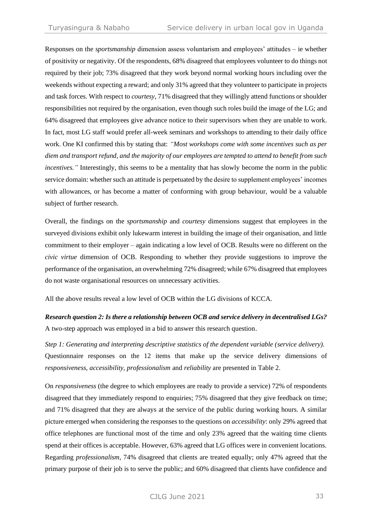Responses on the *sportsmanship* dimension assess voluntarism and employees' attitudes – ie whether of positivity or negativity. Of the respondents, 68% disagreed that employees volunteer to do things not required by their job; 73% disagreed that they work beyond normal working hours including over the weekends without expecting a reward; and only 31% agreed that they volunteer to participate in projects and task forces. With respect to *courtesy*, 71% disagreed that they willingly attend functions or shoulder responsibilities not required by the organisation, even though such roles build the image of the LG; and 64% disagreed that employees give advance notice to their supervisors when they are unable to work. In fact, most LG staff would prefer all-week seminars and workshops to attending to their daily office work. One KI confirmed this by stating that: *"Most workshops come with some incentives such as per diem and transport refund, and the majority of our employees are tempted to attend to benefit from such incentives.*" Interestingly, this seems to be a mentality that has slowly become the norm in the public service domain: whether such an attitude is perpetuated by the desire to supplement employees' incomes with allowances, or has become a matter of conforming with group behaviour, would be a valuable subject of further research.

Overall, the findings on the *sportsmanship* and *courtesy* dimensions suggest that employees in the surveyed divisions exhibit only lukewarm interest in building the image of their organisation, and little commitment to their employer – again indicating a low level of OCB. Results were no different on the *civic virtue* dimension of OCB. Responding to whether they provide suggestions to improve the performance of the organisation, an overwhelming 72% disagreed; while 67% disagreed that employees do not waste organisational resources on unnecessary activities.

All the above results reveal a low level of OCB within the LG divisions of KCCA.

*Research question 2: Is there a relationship between OCB and service delivery in decentralised LGs?*  A two-step approach was employed in a bid to answer this research question.

*Step 1: Generating and interpreting descriptive statistics of the dependent variable (service delivery).* Questionnaire responses on the 12 items that make up the service delivery dimensions of *responsiveness, accessibility, professionalism* and *reliability* are presented in Table 2.

On *responsiveness* (the degree to which employees are ready to provide a service) 72% of respondents disagreed that they immediately respond to enquiries; 75% disagreed that they give feedback on time; and 71% disagreed that they are always at the service of the public during working hours. A similar picture emerged when considering the responses to the questions on *accessibility*: only 29% agreed that office telephones are functional most of the time and only 23% agreed that the waiting time clients spend at their offices is acceptable. However, 63% agreed that LG offices were in convenient locations. Regarding *professionalism*, 74% disagreed that clients are treated equally; only 47% agreed that the primary purpose of their job is to serve the public; and 60% disagreed that clients have confidence and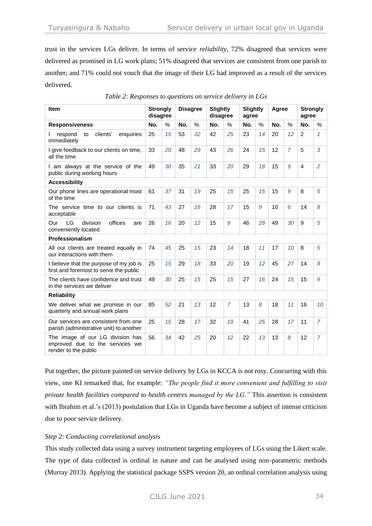trust in the services LGs deliver. In terms of service *reliability*, 72% disagreed that services were delivered as promised in LG work plans; 51% disagreed that services are consistent from one parish to another; and 71% could not vouch that the image of their LG had improved as a result of the services delivered.

| <b>Item</b>                                                                                 | <b>Strongly</b><br>disagree |               |     | <b>Disagree</b> | <b>Slightly</b><br>disagree |                | <b>Slightly</b><br>agree |               | Agree |                | <b>Strongly</b><br>agree |                |
|---------------------------------------------------------------------------------------------|-----------------------------|---------------|-----|-----------------|-----------------------------|----------------|--------------------------|---------------|-------|----------------|--------------------------|----------------|
| <b>Responsiveness</b>                                                                       | No.                         | $\frac{9}{6}$ | No. | $\frac{9}{6}$   | No.                         | $\frac{0}{2}$  | No.                      | $\frac{9}{6}$ | No.   | $\frac{0}{0}$  | No.                      | $\frac{1}{2}$  |
| clients'<br>respond<br>to<br>enquiries<br>immediately                                       | 25                          | 15            | 53  | 32              | 42                          | 25             | 23                       | 14            | 20    | 12             | $\overline{2}$           | $\mathcal I$   |
| I give feedback to our clients on time,<br>all the time                                     | 33                          | 20            | 48  | 29              | 43                          | 26             | 24                       | 15            | 12    | $\overline{7}$ | 5                        | 3              |
| I am always at the service of the<br>public during working hours                            | 49                          | 30            | 35  | 21              | 33                          | 20             | 29                       | 18            | 15    | 9              | $\overline{4}$           | $\overline{2}$ |
| <b>Accessibility</b>                                                                        |                             |               |     |                 |                             |                |                          |               |       |                |                          |                |
| Our phone lines are operational most<br>of the time                                         | 61                          | 37            | 31  | 19              | 25                          | 15             | 25                       | 15            | 15    | 9              | 8                        | 5              |
| The service time to our clients is<br>acceptable                                            | 71                          | 43            | 27  | 16              | 28                          | 17             | 15                       | 9             | 10    | 6              | 14                       | 8              |
| division<br>LG<br>offices<br>Our<br>are<br>conveniently located                             | 26                          | 16            | 20  | 12              | 15                          | 9              | 46                       | 28            | 49    | 30             | 9                        | 5              |
| Professionalism                                                                             |                             |               |     |                 |                             |                |                          |               |       |                |                          |                |
| All our clients are treated equally in<br>our interactions with them                        | 74                          | 45            | 25  | 15              | 23                          | 14             | 18                       | 11            | 17    | 10             | 8                        | 5              |
| I believe that the purpose of my job is<br>first and foremost to serve the public           | 25                          | 15            | 29  | 18              | 33                          | 20             | 19                       | 12            | 45    | 27             | 14                       | 8              |
| The clients have confidence and trust<br>in the services we deliver                         | 49                          | 30            | 25  | 15              | 25                          | 15             | 27                       | 16            | 24    | 15             | 15                       | 9              |
| <b>Reliability</b>                                                                          |                             |               |     |                 |                             |                |                          |               |       |                |                          |                |
| We deliver what we promise in our<br>quarterly and annual work plans                        | 85                          | 52            | 21  | 13              | 12                          | $\overline{7}$ | 13                       | 8             | 18    | 11             | 16                       | 10             |
| Our services are consistent from one<br>parish (administrative unit) to another             | 25                          | 15            | 28  | 17              | 32                          | 19             | 41                       | 25            | 28    | 17             | 11                       | $\overline{7}$ |
| The image of our LG division has<br>improved due to the services we<br>render to the public | 56                          | 34            | 42  | 25              | 20                          | 12             | 22                       | 13            | 13    | 8              | 12                       | $\overline{7}$ |

| Table 2: Responses to questions on service delivery in LGs |  |  |
|------------------------------------------------------------|--|--|
|                                                            |  |  |

Put together, the picture painted on service delivery by LGs in KCCA is not rosy. Concurring with this view, one KI remarked that, for example: *"The people find it more convenient and fulfilling to visit private health facilities compared to health centres managed by the LG."* This assertion is consistent with Ibrahim et al.'s (2013) postulation that LGs in Uganda have become a subject of intense criticism due to poor service delivery.

# *Step 2: Conducting correlational analysis*

This study collected data using a survey instrument targeting employees of LGs using the Likert scale. The type of data collected is ordinal in nature and can be analysed using non-parametric methods (Murray 2013). Applying the statistical package SSPS version 20, an ordinal correlation analysis using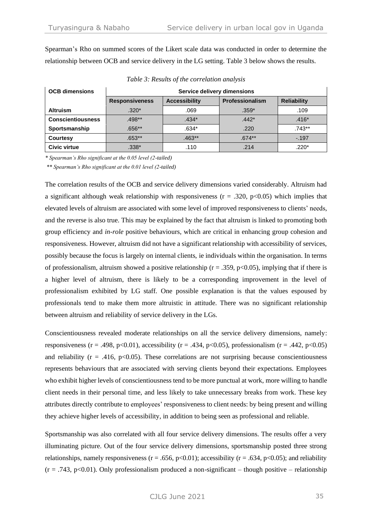Spearman's Rho on summed scores of the Likert scale data was conducted in order to determine the relationship between OCB and service delivery in the LG setting. Table 3 below shows the results.

| <b>OCB dimensions</b>    | Service delivery dimensions |                      |                 |                    |  |  |  |  |  |
|--------------------------|-----------------------------|----------------------|-----------------|--------------------|--|--|--|--|--|
|                          | <b>Responsiveness</b>       | <b>Accessibility</b> | Professionalism | <b>Reliability</b> |  |  |  |  |  |
| <b>Altruism</b>          | $.320*$                     | .069                 | $.359*$         | .109               |  |  |  |  |  |
| <b>Conscientiousness</b> | $.498**$                    | $.434*$              | $.442*$         | $.416*$            |  |  |  |  |  |
| Sportsmanship            | $.656**$                    | $.634*$              | .220            | .743**             |  |  |  |  |  |
| <b>Courtesy</b>          | $.653**$                    | $.463**$             | $.674**$        | $-.197$            |  |  |  |  |  |
| <b>Civic virtue</b>      | $.338*$                     | .110                 | .214            | $.220*$            |  |  |  |  |  |

*Table 3: Results of the correlation analysis*

*\* Spearman's Rho significant at the 0.05 level (2-tailed)*

*\*\* Spearman's Rho significant at the 0.01 level (2-tailed)*

The correlation results of the OCB and service delivery dimensions varied considerably. Altruism had a significant although weak relationship with responsiveness ( $r = .320$ ,  $p < 0.05$ ) which implies that elevated levels of altruism are associated with some level of improved responsiveness to clients' needs, and the reverse is also true. This may be explained by the fact that altruism is linked to promoting both group efficiency and *in-role* positive behaviours, which are critical in enhancing group cohesion and responsiveness. However, altruism did not have a significant relationship with accessibility of services, possibly because the focus is largely on internal clients, ie individuals within the organisation. In terms of professionalism, altruism showed a positive relationship ( $r = .359$ ,  $p < 0.05$ ), implying that if there is a higher level of altruism, there is likely to be a corresponding improvement in the level of professionalism exhibited by LG staff. One possible explanation is that the values espoused by professionals tend to make them more altruistic in attitude. There was no significant relationship between altruism and reliability of service delivery in the LGs.

Conscientiousness revealed moderate relationships on all the service delivery dimensions, namely: responsiveness (r = .498, p<0.01), accessibility (r = .434, p<0.05), professionalism (r = .442, p<0.05) and reliability ( $r = .416$ ,  $p < 0.05$ ). These correlations are not surprising because conscientiousness represents behaviours that are associated with serving clients beyond their expectations. Employees who exhibit higher levels of conscientiousness tend to be more punctual at work, more willing to handle client needs in their personal time, and less likely to take unnecessary breaks from work. These key attributes directly contribute to employees' responsiveness to client needs: by being present and willing they achieve higher levels of accessibility, in addition to being seen as professional and reliable.

Sportsmanship was also correlated with all four service delivery dimensions. The results offer a very illuminating picture. Out of the four service delivery dimensions, sportsmanship posted three strong relationships, namely responsiveness ( $r = .656$ , p<0.01); accessibility ( $r = .634$ , p<0.05); and reliability  $(r = .743, p<0.01)$ . Only professionalism produced a non-significant – though positive – relationship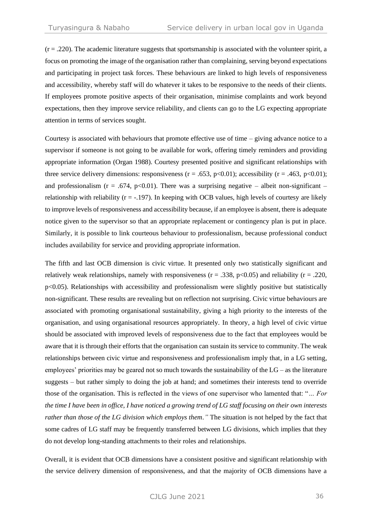$(r = .220)$ . The academic literature suggests that sportsmanship is associated with the volunteer spirit, a focus on promoting the image of the organisation rather than complaining, serving beyond expectations and participating in project task forces. These behaviours are linked to high levels of responsiveness and accessibility, whereby staff will do whatever it takes to be responsive to the needs of their clients. If employees promote positive aspects of their organisation, minimise complaints and work beyond expectations, then they improve service reliability, and clients can go to the LG expecting appropriate attention in terms of services sought.

Courtesy is associated with behaviours that promote effective use of time – giving advance notice to a supervisor if someone is not going to be available for work, offering timely reminders and providing appropriate information (Organ 1988). Courtesy presented positive and significant relationships with three service delivery dimensions: responsiveness ( $r = .653$ ,  $p < 0.01$ ); accessibility ( $r = .463$ ,  $p < 0.01$ ); and professionalism ( $r = .674$ , p<0.01). There was a surprising negative – albeit non-significant – relationship with reliability  $(r = -197)$ . In keeping with OCB values, high levels of courtesy are likely to improve levels of responsiveness and accessibility because, if an employee is absent, there is adequate notice given to the supervisor so that an appropriate replacement or contingency plan is put in place. Similarly, it is possible to link courteous behaviour to professionalism, because professional conduct includes availability for service and providing appropriate information.

The fifth and last OCB dimension is civic virtue. It presented only two statistically significant and relatively weak relationships, namely with responsiveness ( $r = .338$ ,  $p < 0.05$ ) and reliability ( $r = .220$ ,  $p$ <0.05). Relationships with accessibility and professionalism were slightly positive but statistically non-significant. These results are revealing but on reflection not surprising. Civic virtue behaviours are associated with promoting organisational sustainability, giving a high priority to the interests of the organisation, and using organisational resources appropriately. In theory, a high level of civic virtue should be associated with improved levels of responsiveness due to the fact that employees would be aware that it is through their efforts that the organisation can sustain its service to community. The weak relationships between civic virtue and responsiveness and professionalism imply that, in a LG setting, employees' priorities may be geared not so much towards the sustainability of the  $LG -$  as the literature suggests – but rather simply to doing the job at hand; and sometimes their interests tend to override those of the organisation. This is reflected in the views of one supervisor who lamented that: "*… For the time I have been in office, I have noticed a growing trend of LG staff focusing on their own interests rather than those of the LG division which employs them."* The situation is not helped by the fact that some cadres of LG staff may be frequently transferred between LG divisions, which implies that they do not develop long-standing attachments to their roles and relationships.

Overall, it is evident that OCB dimensions have a consistent positive and significant relationship with the service delivery dimension of responsiveness, and that the majority of OCB dimensions have a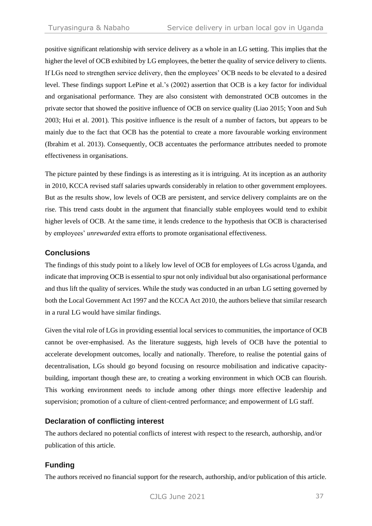positive significant relationship with service delivery as a whole in an LG setting. This implies that the higher the level of OCB exhibited by LG employees, the better the quality of service delivery to clients. If LGs need to strengthen service delivery, then the employees' OCB needs to be elevated to a desired level. These findings support LePine et al.'s (2002) assertion that OCB is a key factor for individual and organisational performance. They are also consistent with demonstrated OCB outcomes in the private sector that showed the positive influence of OCB on service quality (Liao 2015; Yoon and Suh 2003; Hui et al. 2001). This positive influence is the result of a number of factors, but appears to be mainly due to the fact that OCB has the potential to create a more favourable working environment (Ibrahim et al. 2013). Consequently, OCB accentuates the performance attributes needed to promote effectiveness in organisations.

The picture painted by these findings is as interesting as it is intriguing. At its inception as an authority in 2010, KCCA revised staff salaries upwards considerably in relation to other government employees. But as the results show, low levels of OCB are persistent, and service delivery complaints are on the rise. This trend casts doubt in the argument that financially stable employees would tend to exhibit higher levels of OCB. At the same time, it lends credence to the hypothesis that OCB is characterised by employees' *unrewarded* extra efforts to promote organisational effectiveness.

# **Conclusions**

The findings of this study point to a likely low level of OCB for employees of LGs across Uganda, and indicate that improving OCB is essential to spur not only individual but also organisational performance and thus lift the quality of services. While the study was conducted in an urban LG setting governed by both the Local Government Act 1997 and the KCCA Act 2010, the authors believe that similar research in a rural LG would have similar findings.

Given the vital role of LGs in providing essential local services to communities, the importance of OCB cannot be over-emphasised. As the literature suggests, high levels of OCB have the potential to accelerate development outcomes, locally and nationally. Therefore, to realise the potential gains of decentralisation, LGs should go beyond focusing on resource mobilisation and indicative capacitybuilding, important though these are, to creating a working environment in which OCB can flourish. This working environment needs to include among other things more effective leadership and supervision; promotion of a culture of client-centred performance; and empowerment of LG staff.

# **Declaration of conflicting interest**

The authors declared no potential conflicts of interest with respect to the research, authorship, and/or publication of this article.

# **Funding**

The authors received no financial support for the research, authorship, and/or publication of this article.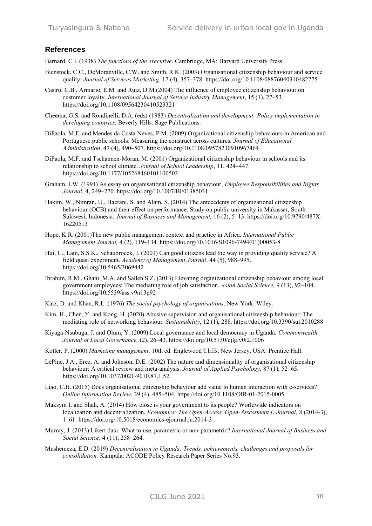### **References**

Barnard, C.I. (1938) *The functions of the executive*. Cambridge, MA: Harvard University Press.

- Bienstock, C.C., DeMoranville, C.W. and Smith, R.K. (2003) Organisational citizenship behaviour and service quality. *Journal of Services Marketing*, 17 (4), 357–378[. https://doi.org/10.1108/08876040310482775](https://doi.org/10.1108/08876040310482775)
- Castro, C.B., Armario, E.M. and Ruiz, D.M (2004) The influence of employee citizenship behaviour on customer loyalty. *International Journal of Service Industry Management*, 15 (1), 27–53. <https://doi.org/10.1108/09564230410523321>
- Cheema, G.S. and Rondinelli, D.A. (eds) (1983) *Decentralization and development: Policy implementation in developing countries*. Beverly Hills: Sage Publications.
- DiPaola, M.F. and Mendes da Costa Neves, P.M. (2009) Organizational citizenship behaviours in American and Portuguese public schools: Measuring the construct across cultures. *Journal of Educational Administration*, 47 (4), 490–507[. https://doi.org/10.1108/09578230910967464](https://doi.org/10.1108/09578230910967464)
- DiPaola, M.F. and Tschannen-Moran, M. (2001) Organizational citizenship behaviour in schools and its relationship to school climate. *Journal of School Leadership*, 11, 424–447. <https://doi.org/10.1177/105268460101100503>
- Graham, J.W. (1991) As essay on organisational citizenship behaviour, *Employee Responsibilities and Rights Journal*, 4, 249–270[. https://doi.org/10.1007/BF01385031](https://doi.org/10.1007/BF01385031)
- Hakim, W., Nimran, U., Haerani, S. and Alam, S. (2014) The antecedents of organizational citizenship behaviour (OCB) and their effect on performance: Study on public university in Makassar, South Sulawesi, Indonesia. *Journal of Business and Management,* 16 (2), 5–13[. https://doi.org/10.9790/487X-](https://doi.org/10.9790/487X-16220513)[16220513](https://doi.org/10.9790/487X-16220513)
- Hope, K.R. (2001)The new public management context and practice in Africa. *International Public Management Journal,* 4 (2), 119–134. [https://doi.org/10.1016/S1096-7494\(01\)00053-8](https://doi.org/10.1016/S1096-7494(01)00053-8)
- Hui, C., Lam, S.S.K., Schaubroeck, J. (2001) Can good citizens lead the way in providing quality service? A field quasi experiment. *Academy of Management Journal*, 44 (5), 988–995. <https://doi.org/10.5465/3069442>
- Ibrahim, R.M., Ghani, M.A. and Salleh S.Z. (2013) Elevating organizational citizenship behaviour among local government employees: The mediating role of job satisfaction. *Asian Social Science,* 9 (13), 92–104. <https://doi.org/10.5539/ass.v9n13p92>
- Katz, D. and Khan, R.L. (1976) *The social psychology of organisations*. New York: Wiley.
- Kim, H., Chen, Y. and Kong, H. (2020) Abusive supervision and organisational citizenship behaviour: The mediating role of networking behaviour. *Sustainability*, 12 (1), 288.<https://doi.org/10.3390/su12010288>
- Kiyaga-Nsubuga, J. and Olum, Y. (2009) Local governance and local democracy in Uganda. *Commonwealth Journal of Local Governance,* (2), 26–43.<https://doi.org/10.5130/cjlg.v0i2.1006>
- Kotler, P. (2000) *Marketing management*. 10th ed. Englewood Cliffs, New Jersey, USA: Prentice Hall.
- LePine, J.A., Erez, A. and Johnson, D.E. (2002) The nature and dimensionality of organisational citizenship behaviour: A critical review and meta-analysis. *Journal of Applied Psychology*, 87 (1), 52–65. <https://doi.org/10.1037/0021-9010.87.1.52>
- Liao, C.H. (2015) Does organisational citizenship behaviour add value to human interaction with e-services? *Online Information Review*, 39 (4), 485–504[. https://doi.org/10.1108/OIR-01-2015-0005](https://doi.org/10.1108/OIR-01-2015-0005)
- Maksym I. and Shah, A. (2014) How close is your government to its people? Worldwide indicators on localization and decentralization. *Economics: The Open-Access, Open-Assessment E-Journal,* 8 (2014-3), 1–61.<https://doi.org/10.5018/economics-ejournal.ja.2014-3>
- Murray, J. (2013) Likert data: What to use, parametric or non-parametric? *International Journal of Business and Social Science*; 4 (11), 258–264.
- Mushemeza, E.D. (2019) *Decentralisation in Uganda: Trends, achievements, challenges and proposals for consolidation.* Kampala: ACODE Policy Research Paper Series No.93.